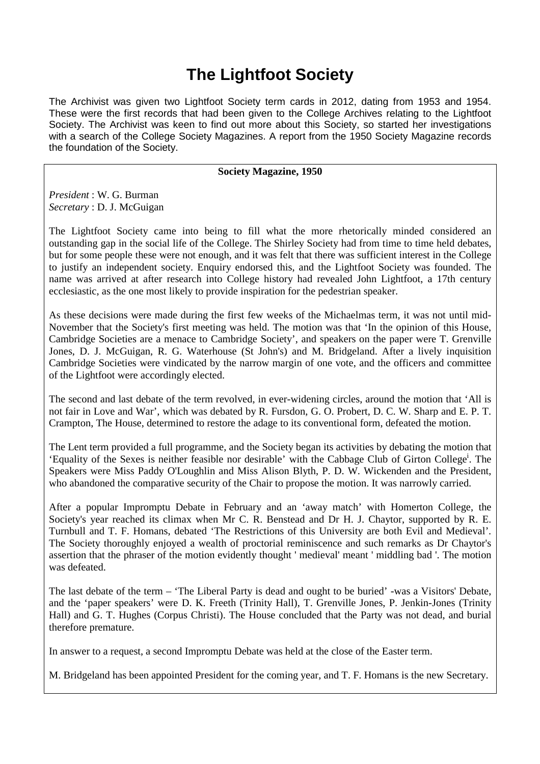# **The Lightfoot Society**

The Archivist was given two Lightfoot Society term cards in 2012, dating from 1953 and 1954. These were the first records that had been given to the College Archives relating to the Lightfoot Society. The Archivist was keen to find out more about this Society, so started her investigations with a search of the College Society Magazines. A report from the 1950 Society Magazine records the foundation of the Society.

## **Society Magazine, 1950**

*President* : W. G. Burman *Secretary* : D. J. McGuigan

The Lightfoot Society came into being to fill what the more rhetorically minded considered an outstanding gap in the social life of the College. The Shirley Society had from time to time held debates, but for some people these were not enough, and it was felt that there was sufficient interest in the College to justify an independent society. Enquiry endorsed this, and the Lightfoot Society was founded. The name was arrived at after research into College history had revealed John Lightfoot, a 17th century ecclesiastic, as the one most likely to provide inspiration for the pedestrian speaker.

As these decisions were made during the first few weeks of the Michaelmas term, it was not until mid-November that the Society's first meeting was held. The motion was that 'In the opinion of this House, Cambridge Societies are a menace to Cambridge Society', and speakers on the paper were T. Grenville Jones, D. J. McGuigan, R. G. Waterhouse (St John's) and M. Bridgeland. After a lively inquisition Cambridge Societies were vindicated by the narrow margin of one vote, and the officers and committee of the Lightfoot were accordingly elected.

The second and last debate of the term revolved, in ever-widening circles, around the motion that 'All is not fair in Love and War', which was debated by R. Fursdon, G. O. Probert, D. C. W. Sharp and E. P. T. Crampton, The House, determined to restore the adage to its conventional form, defeated the motion.

The Lent term provided a full programme, and the Society began its activities by debating the motion that 'Equality of the Sexes is neither feasible nor desirable' with the Cabbage Club of Girton College<sup>i</sup> . The Speakers were Miss Paddy O'Loughlin and Miss Alison Blyth, P. D. W. Wickenden and the President, who abandoned the comparative security of the Chair to propose the motion. It was narrowly carried.

After a popular Impromptu Debate in February and an 'away match' with Homerton College, the Society's year reached its climax when Mr C. R. Benstead and Dr H. J. Chaytor, supported by R. E. Turnbull and T. F. Homans, debated 'The Restrictions of this University are both Evil and Medieval'. The Society thoroughly enjoyed a wealth of proctorial reminiscence and such remarks as Dr Chaytor's assertion that the phraser of the motion evidently thought ' medieval' meant ' middling bad '. The motion was defeated.

The last debate of the term – 'The Liberal Party is dead and ought to be buried' -was a Visitors' Debate, and the 'paper speakers' were D. K. Freeth (Trinity Hall), T. Grenville Jones, P. Jenkin-Jones (Trinity Hall) and G. T. Hughes (Corpus Christi). The House concluded that the Party was not dead, and burial therefore premature.

In answer to a request, a second Impromptu Debate was held at the close of the Easter term.

M. Bridgeland has been appointed President for the coming year, and T. F. Homans is the new Secretary.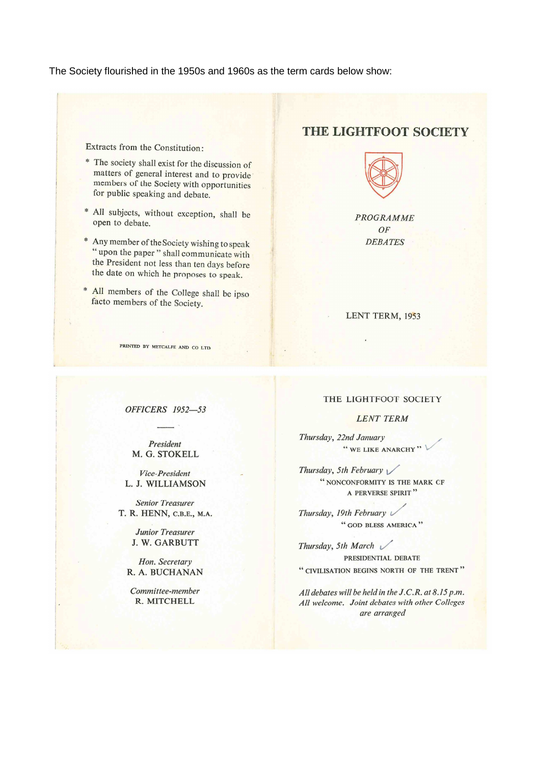### The Society flourished in the 1950s and 1960s as the term cards below show:

Extracts from the Constitution:

- \* The society shall exist for the discussion of matters of general interest and to provide members of the Society with opportunities for public speaking and debate.
- \* All subjects, without exception, shall be open to debate.
- \* Any member of the Society wishing to speak "upon the paper" shall communicate with the President not less than ten days before the date on which he proposes to speak.
- \* All members of the College shall be ipso facto members of the Society.

PRINTED BY METCALFE AND CO LTD

OFFICERS 1952-53

President M. G. STOKELL

Vice-President L. J. WILLIAMSON

**Senior Treasurer** T. R. HENN, C.B.E., M.A.

> **Junior Treasurer** J. W. GARBUTT

Hon. Secretary R. A. BUCHANAN

Committee-member R. MITCHELL

# **THE LIGHTFOOT SOCIETY**



**PROGRAMME** OF **DEBATES** 

LENT TERM, 1953

#### THE LIGHTFOOT SOCIETY

**LENT TERM** 

Thursday, 22nd January "WE LIKE ANARCHY"

Thursday, 5th February "NONCONFORMITY IS THE MARK CF A PERVERSE SPIRIT"

Thursday, 19th February  $\nu$ "GOD BLESS AMERICA"

Thursday, 5th March V PRESIDENTIAL DEBATE "CIVILISATION BEGINS NORTH OF THE TRENT"

All debates will be held in the J.C.R. at 8.15 p.m. All welcome. Joint debates with other Colleges are arranged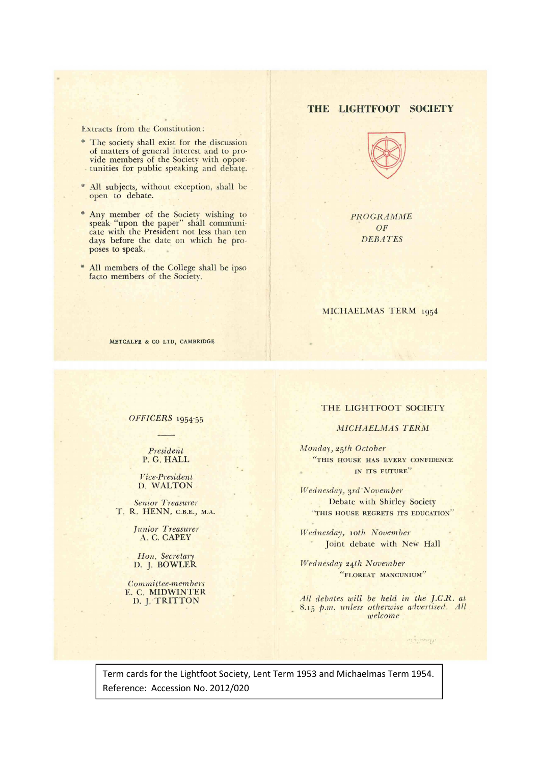#### **Extracts from the Constitution:**

- \* The society shall exist for the discussion of matters of general interest and to provide members of the Society with opportunities for public speaking and debate.
- \* All subjects, without exception, shall be open to debate.
- \* Any member of the Society wishing to speak "upon the paper" shall communicate with the President not less than ten days before the date on which he proposes to speak.
- \* All members of the College shall be ipso facto members of the Society.

#### THE LIGHTFOOT SOCIETY



**PROGRAMME** OF **DEBATES** 

#### MICHAELMAS TERM 1954

METCALFE & CO LTD, CAMBRIDGE

OFFICERS 1954-55

#### President P. G. HALL

#### Vice-President D. WALTON

Senior Treasurer T. R. HENN, C.B.E., M.A.

> Junior Treasurer A. C. CAPEY

Hon. Secretary<br>D. J. BOWLER

Committee-members E. C. MIDWINTER D. J. TRITTON

#### THE LIGHTFOOT SOCIETY

**MICHAELMAS TERM** 

Monday, 25th October "THIS HOUSE HAS EVERY CONFIDENCE IN ITS FUTURE"

Wednesday, 3rd November Debate with Shirley Society "THIS HOUSE REGRETS ITS EDUCATION"

Wednesday, 10th November Joint debate with New Hall

Wednesday 24th November "FLOREAT MANCUNIUM"

All debates will be held in the J.C.R. at 8.15 p.m. unless otherwise advertised. All welcome

 $\mathcal{P}(\mathcal{P}, \mathcal{P})$ 

Term cards for the Lightfoot Society, Lent Term 1953 and Michaelmas Term 1954. Reference: Accession No. 2012/020